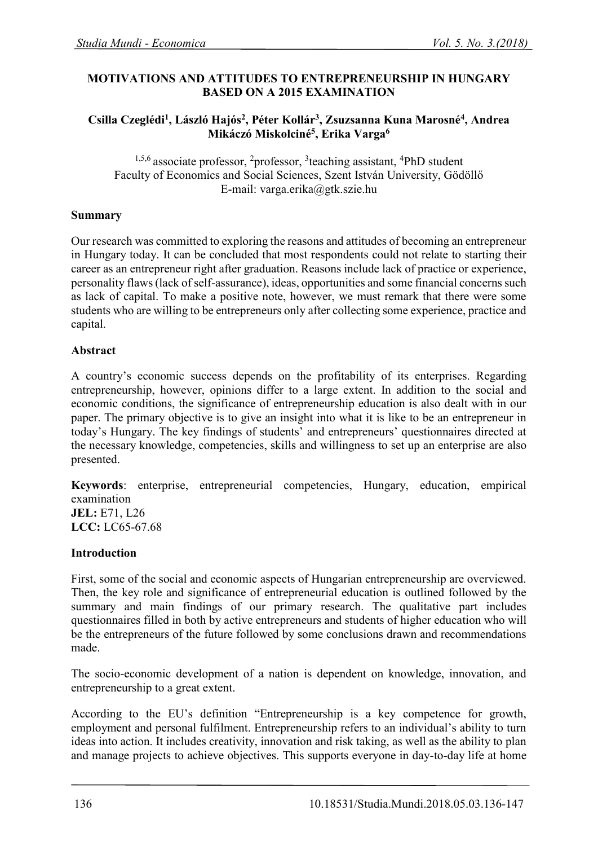# **MOTIVATIONS AND ATTITUDES TO ENTREPRENEURSHIP IN HUNGARY BASED ON A 2015 EXAMINATION**

### **Csilla Czeglédi<sup>1</sup> , László Hajós<sup>2</sup> , Péter Kollár<sup>3</sup> , Zsuzsanna Kuna Marosné<sup>4</sup> , Andrea Mikáczó Miskolciné<sup>5</sup> , Erika Varga<sup>6</sup>**

<sup>1,5,6</sup> associate professor, <sup>2</sup>professor, <sup>3</sup>teaching assistant, <sup>4</sup>PhD student Faculty of Economics and Social Sciences, Szent István University, Gödöllő E-mail: [varga.erika@gtk.szie.hu](mailto:varga.erika@gtk.szie.hu)

### **Summary**

Our research was committed to exploring the reasons and attitudes of becoming an entrepreneur in Hungary today. It can be concluded that most respondents could not relate to starting their career as an entrepreneur right after graduation. Reasons include lack of practice or experience, personality flaws (lack of self-assurance), ideas, opportunities and some financial concerns such as lack of capital. To make a positive note, however, we must remark that there were some students who are willing to be entrepreneurs only after collecting some experience, practice and capital.

### **Abstract**

A country's economic success depends on the profitability of its enterprises. Regarding entrepreneurship, however, opinions differ to a large extent. In addition to the social and economic conditions, the significance of entrepreneurship education is also dealt with in our paper. The primary objective is to give an insight into what it is like to be an entrepreneur in today's Hungary. The key findings of students' and entrepreneurs' questionnaires directed at the necessary knowledge, competencies, skills and willingness to set up an enterprise are also presented.

**Keywords**: enterprise, entrepreneurial competencies, Hungary, education, empirical examination **JEL:** E71, L26 **LCC:** LC65-67.68

#### **Introduction**

First, some of the social and economic aspects of Hungarian entrepreneurship are overviewed. Then, the key role and significance of entrepreneurial education is outlined followed by the summary and main findings of our primary research. The qualitative part includes questionnaires filled in both by active entrepreneurs and students of higher education who will be the entrepreneurs of the future followed by some conclusions drawn and recommendations made.

The socio-economic development of a nation is dependent on knowledge, innovation, and entrepreneurship to a great extent.

According to the EU's definition "Entrepreneurship is a key competence for growth, employment and personal fulfilment. Entrepreneurship refers to an individual's ability to turn ideas into action. It includes creativity, innovation and risk taking, as well as the ability to plan and manage projects to achieve objectives. This supports everyone in day-to-day life at home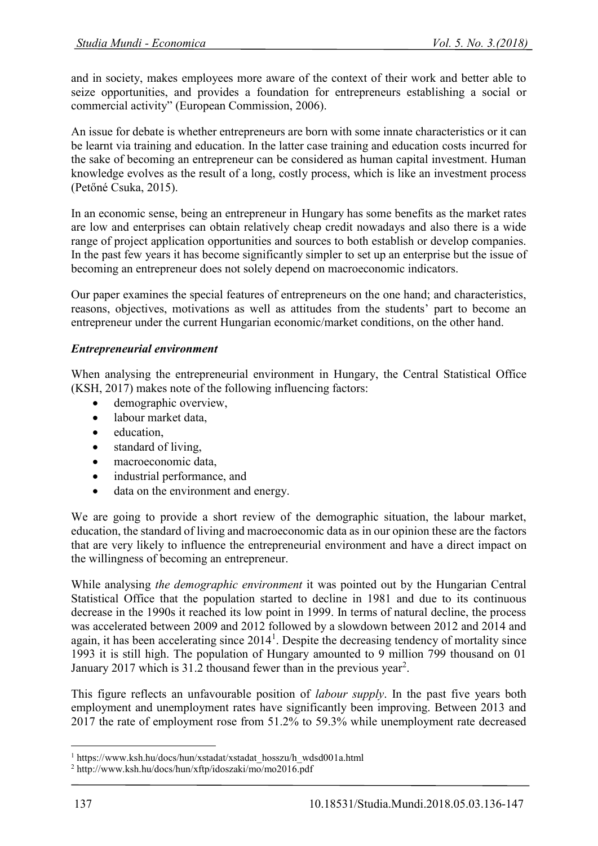and in society, makes employees more aware of the context of their work and better able to seize opportunities, and provides a foundation for entrepreneurs establishing a social or commercial activity" (European Commission, 2006).

An issue for debate is whether entrepreneurs are born with some innate characteristics or it can be learnt via training and education. In the latter case training and education costs incurred for the sake of becoming an entrepreneur can be considered as human capital investment. Human knowledge evolves as the result of a long, costly process, which is like an investment process (Petőné Csuka, 2015).

In an economic sense, being an entrepreneur in Hungary has some benefits as the market rates are low and enterprises can obtain relatively cheap credit nowadays and also there is a wide range of project application opportunities and sources to both establish or develop companies. In the past few years it has become significantly simpler to set up an enterprise but the issue of becoming an entrepreneur does not solely depend on macroeconomic indicators.

Our paper examines the special features of entrepreneurs on the one hand; and characteristics, reasons, objectives, motivations as well as attitudes from the students' part to become an entrepreneur under the current Hungarian economic/market conditions, on the other hand.

### *Entrepreneurial environment*

When analysing the entrepreneurial environment in Hungary, the Central Statistical Office (KSH, 2017) makes note of the following influencing factors:

- demographic overview,
- labour market data,
- education,
- standard of living,
- macroeconomic data,
- industrial performance, and
- data on the environment and energy.

We are going to provide a short review of the demographic situation, the labour market, education, the standard of living and macroeconomic data as in our opinion these are the factors that are very likely to influence the entrepreneurial environment and have a direct impact on the willingness of becoming an entrepreneur.

While analysing *the demographic environment* it was pointed out by the Hungarian Central Statistical Office that the population started to decline in 1981 and due to its continuous decrease in the 1990s it reached its low point in 1999. In terms of natural decline, the process was accelerated between 2009 and 2012 followed by a slowdown between 2012 and 2014 and again, it has been accelerating since  $2014<sup>1</sup>$ . Despite the decreasing tendency of mortality since 1993 it is still high. The population of Hungary amounted to 9 million 799 thousand on 01 January 2017 which is 31.2 thousand fewer than in the previous year<sup>2</sup>.

This figure reflects an unfavourable position of *labour supply*. In the past five years both employment and unemployment rates have significantly been improving. Between 2013 and 2017 the rate of employment rose from 51.2% to 59.3% while unemployment rate decreased

1

 $^1$ https://www.ksh.hu/docs/hun/xstadat/xstadat\_hosszu/h\_wdsd001a.html

<sup>2</sup> http://www.ksh.hu/docs/hun/xftp/idoszaki/mo/mo2016.pdf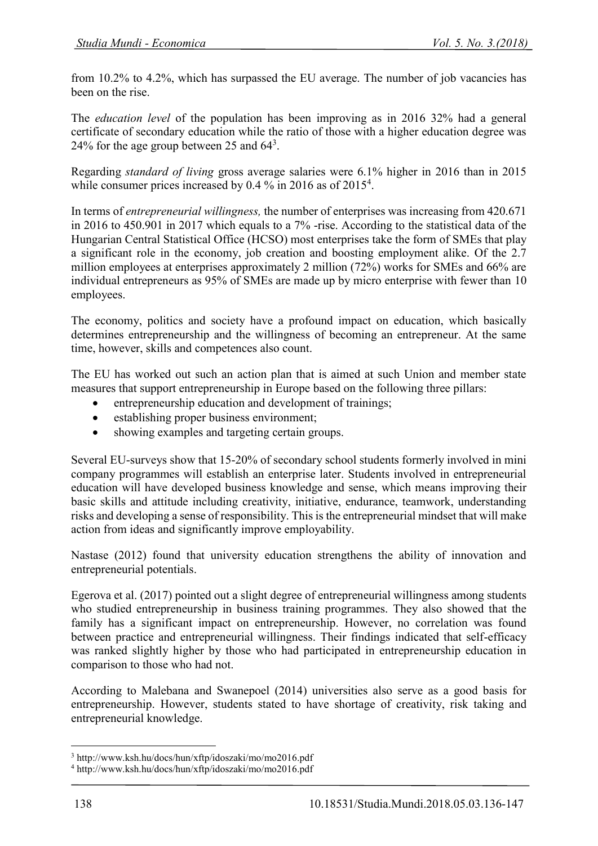from 10.2% to 4.2%, which has surpassed the EU average. The number of job vacancies has been on the rise.

The *education level* of the population has been improving as in 2016 32% had a general certificate of secondary education while the ratio of those with a higher education degree was 24% for the age group between 25 and  $64<sup>3</sup>$ .

Regarding *standard of living* gross average salaries were 6.1% higher in 2016 than in 2015 while consumer prices increased by 0.4  $\%$  in 2016 as of 2015<sup>4</sup>.

In terms of *entrepreneurial willingness,* the number of enterprises was increasing from 420.671 in 2016 to 450.901 in 2017 which equals to a 7% -rise. According to the statistical data of the Hungarian Central Statistical Office (HCSO) most enterprises take the form of SMEs that play a significant role in the economy, job creation and boosting employment alike. Of the 2.7 million employees at enterprises approximately 2 million (72%) works for SMEs and 66% are individual entrepreneurs as 95% of SMEs are made up by micro enterprise with fewer than 10 employees.

The economy, politics and society have a profound impact on education, which basically determines entrepreneurship and the willingness of becoming an entrepreneur. At the same time, however, skills and competences also count.

The EU has worked out such an action plan that is aimed at such Union and member state measures that support entrepreneurship in Europe based on the following three pillars:

- entrepreneurship education and development of trainings;
- establishing proper business environment;
- showing examples and targeting certain groups.

Several EU-surveys show that 15-20% of secondary school students formerly involved in mini company programmes will establish an enterprise later. Students involved in entrepreneurial education will have developed business knowledge and sense, which means improving their basic skills and attitude including creativity, initiative, endurance, teamwork, understanding risks and developing a sense of responsibility. This is the entrepreneurial mindset that will make action from ideas and significantly improve employability.

Nastase (2012) found that university education strengthens the ability of innovation and entrepreneurial potentials.

Egerova et al. (2017) pointed out a slight degree of entrepreneurial willingness among students who studied entrepreneurship in business training programmes. They also showed that the family has a significant impact on entrepreneurship. However, no correlation was found between practice and entrepreneurial willingness. Their findings indicated that self-efficacy was ranked slightly higher by those who had participated in entrepreneurship education in comparison to those who had not.

According to Malebana and Swanepoel (2014) universities also serve as a good basis for entrepreneurship. However, students stated to have shortage of creativity, risk taking and entrepreneurial knowledge.

1

<sup>3</sup> http://www.ksh.hu/docs/hun/xftp/idoszaki/mo/mo2016.pdf

<sup>4</sup> http://www.ksh.hu/docs/hun/xftp/idoszaki/mo/mo2016.pdf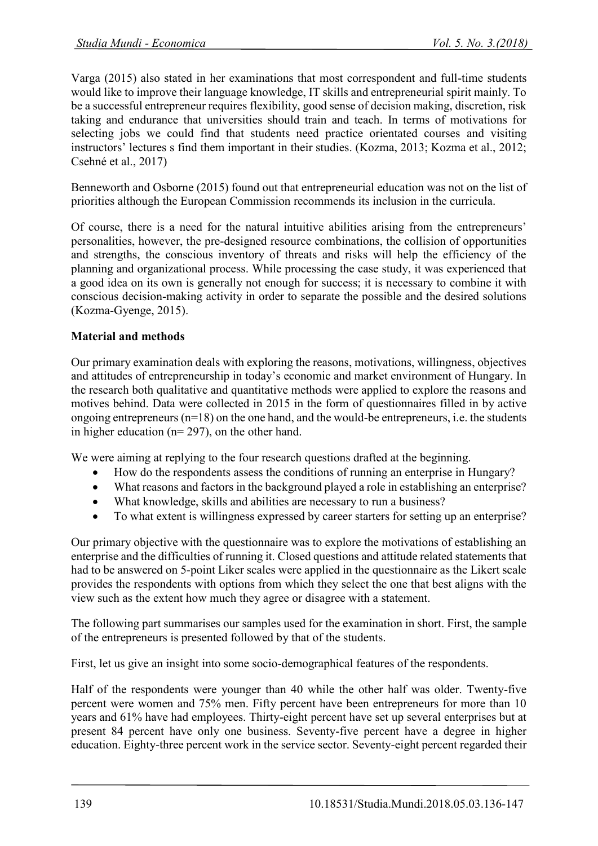Varga (2015) also stated in her examinations that most correspondent and full-time students would like to improve their language knowledge, IT skills and entrepreneurial spirit mainly. To be a successful entrepreneur requires flexibility, good sense of decision making, discretion, risk taking and endurance that universities should train and teach. In terms of motivations for selecting jobs we could find that students need practice orientated courses and visiting instructors' lectures s find them important in their studies. (Kozma, 2013; Kozma et al., 2012; Csehné et al., 2017)

Benneworth and Osborne (2015) found out that entrepreneurial education was not on the list of priorities although the European Commission recommends its inclusion in the curricula.

Of course, there is a need for the natural intuitive abilities arising from the entrepreneurs' personalities, however, the pre-designed resource combinations, the collision of opportunities and strengths, the conscious inventory of threats and risks will help the efficiency of the planning and organizational process. While processing the case study, it was experienced that a good idea on its own is generally not enough for success; it is necessary to combine it with conscious decision-making activity in order to separate the possible and the desired solutions (Kozma-Gyenge, 2015).

### **Material and methods**

Our primary examination deals with exploring the reasons, motivations, willingness, objectives and attitudes of entrepreneurship in today's economic and market environment of Hungary. In the research both qualitative and quantitative methods were applied to explore the reasons and motives behind. Data were collected in 2015 in the form of questionnaires filled in by active ongoing entrepreneurs (n=18) on the one hand, and the would-be entrepreneurs, i.e. the students in higher education (n= 297), on the other hand.

We were aiming at replying to the four research questions drafted at the beginning.

- How do the respondents assess the conditions of running an enterprise in Hungary?
- What reasons and factors in the background played a role in establishing an enterprise?
- What knowledge, skills and abilities are necessary to run a business?
- To what extent is willingness expressed by career starters for setting up an enterprise?

Our primary objective with the questionnaire was to explore the motivations of establishing an enterprise and the difficulties of running it. Closed questions and attitude related statements that had to be answered on 5-point Liker scales were applied in the questionnaire as the Likert scale provides the respondents with options from which they select the one that best aligns with the view such as the extent how much they agree or disagree with a statement.

The following part summarises our samples used for the examination in short. First, the sample of the entrepreneurs is presented followed by that of the students.

First, let us give an insight into some socio-demographical features of the respondents.

Half of the respondents were younger than 40 while the other half was older. Twenty-five percent were women and 75% men. Fifty percent have been entrepreneurs for more than 10 years and 61% have had employees. Thirty-eight percent have set up several enterprises but at present 84 percent have only one business. Seventy-five percent have a degree in higher education. Eighty-three percent work in the service sector. Seventy-eight percent regarded their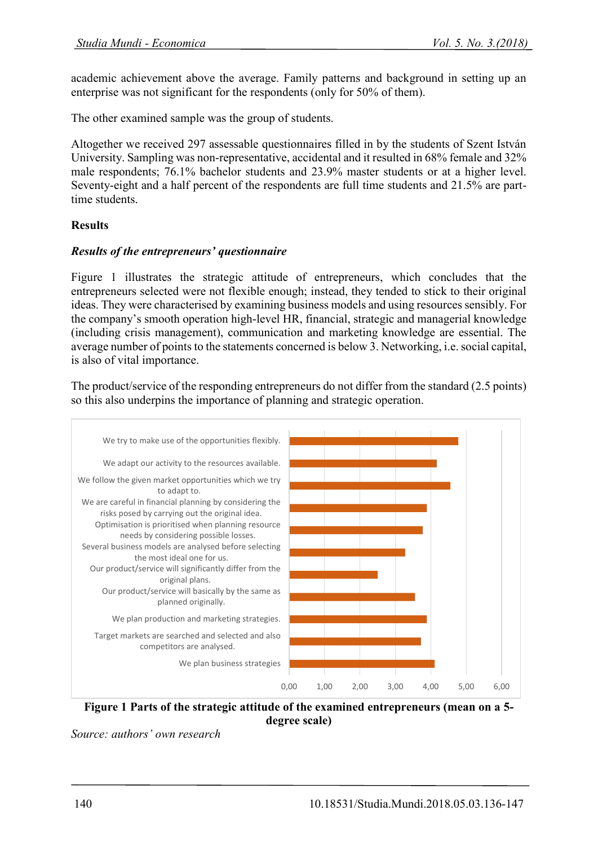academic achievement above the average. Family patterns and background in setting up an enterprise was not significant for the respondents (only for 50% of them).

The other examined sample was the group of students.

Altogether we received 297 assessable questionnaires filled in by the students of Szent István University. Sampling was non-representative, accidental and it resulted in 68% female and 32% male respondents; 76.1% bachelor students and 23.9% master students or at a higher level. Seventy-eight and a half percent of the respondents are full time students and 21.5% are parttime students.

# **Results**

### *Results of the entrepreneurs' questionnaire*

Figure 1 illustrates the strategic attitude of entrepreneurs, which concludes that the entrepreneurs selected were not flexible enough; instead, they tended to stick to their original ideas. They were characterised by examining business models and using resources sensibly. For the company's smooth operation high-level HR, financial, strategic and managerial knowledge (including crisis management), communication and marketing knowledge are essential. The average number of points to the statements concerned is below 3. Networking, i.e. social capital, is also of vital importance.

The product/service of the responding entrepreneurs do not differ from the standard (2.5 points) so this also underpins the importance of planning and strategic operation.



**Figure 1 Parts of the strategic attitude of the examined entrepreneurs (mean on a 5 degree scale)**

*Source: authors' own research*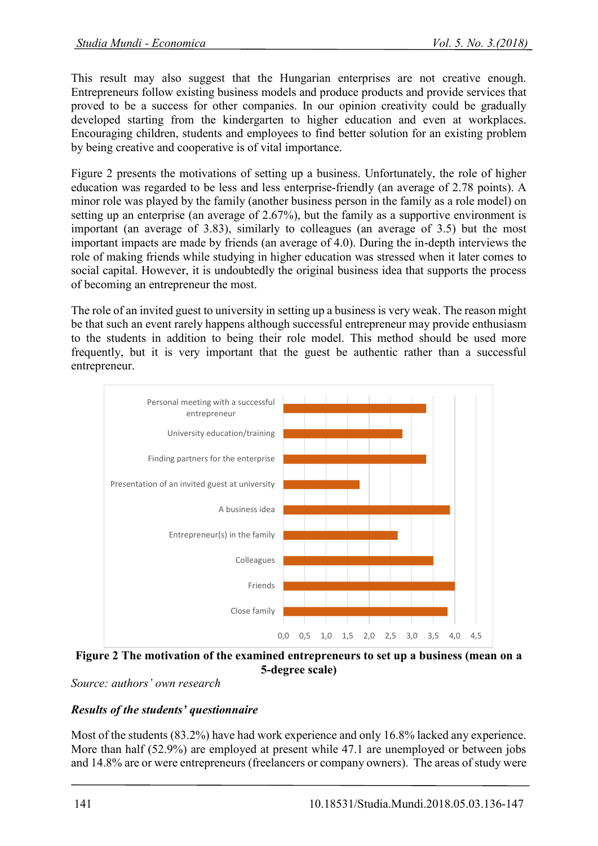This result may also suggest that the Hungarian enterprises are not creative enough. Entrepreneurs follow existing business models and produce products and provide services that proved to be a success for other companies. In our opinion creativity could be gradually developed starting from the kindergarten to higher education and even at workplaces. Encouraging children, students and employees to find better solution for an existing problem by being creative and cooperative is of vital importance.

Figure 2 presents the motivations of setting up a business. Unfortunately, the role of higher education was regarded to be less and less enterprise-friendly (an average of 2.78 points). A minor role was played by the family (another business person in the family as a role model) on setting up an enterprise (an average of 2.67%), but the family as a supportive environment is important (an average of 3.83), similarly to colleagues (an average of 3.5) but the most important impacts are made by friends (an average of 4.0). During the in-depth interviews the role of making friends while studying in higher education was stressed when it later comes to social capital. However, it is undoubtedly the original business idea that supports the process of becoming an entrepreneur the most.

The role of an invited guest to university in setting up a business is very weak. The reason might be that such an event rarely happens although successful entrepreneur may provide enthusiasm to the students in addition to being their role model. This method should be used more frequently, but it is very important that the guest be authentic rather than a successful entrepreneur.



**Figure 2 The motivation of the examined entrepreneurs to set up a business (mean on a 5-degree scale)**

*Source: authors' own research*

# *Results of the students' questionnaire*

Most of the students (83.2%) have had work experience and only 16.8% lacked any experience. More than half (52.9%) are employed at present while 47.1 are unemployed or between jobs and 14.8% are or were entrepreneurs (freelancers or company owners). The areas of study were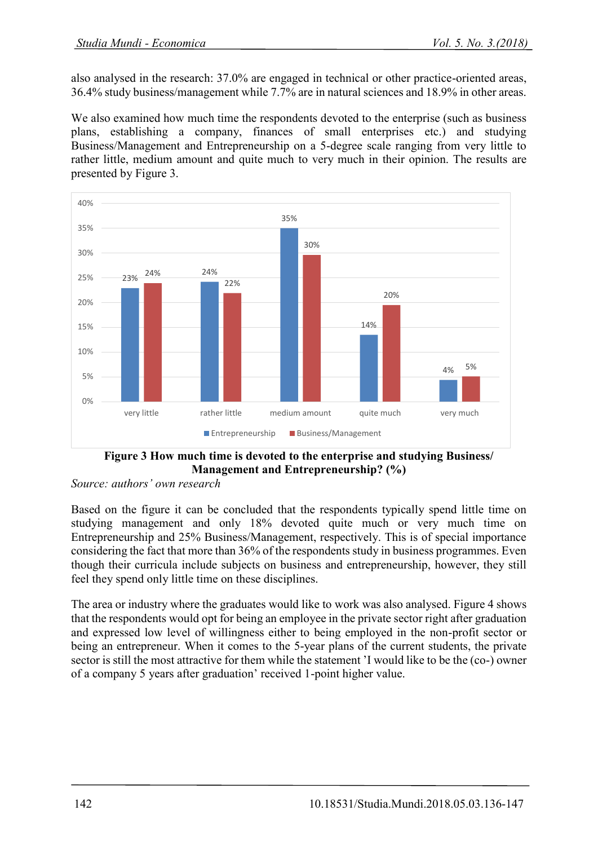also analysed in the research: 37.0% are engaged in technical or other practice-oriented areas, 36.4% study business/management while 7.7% are in natural sciences and 18.9% in other areas.

We also examined how much time the respondents devoted to the enterprise (such as business plans, establishing a company, finances of small enterprises etc.) and studying Business/Management and Entrepreneurship on a 5-degree scale ranging from very little to rather little, medium amount and quite much to very much in their opinion. The results are presented by Figure 3.



**Figure 3 How much time is devoted to the enterprise and studying Business/ Management and Entrepreneurship? (%)**

*Source: authors' own research*

Based on the figure it can be concluded that the respondents typically spend little time on studying management and only 18% devoted quite much or very much time on Entrepreneurship and 25% Business/Management, respectively. This is of special importance considering the fact that more than 36% of the respondents study in business programmes. Even though their curricula include subjects on business and entrepreneurship, however, they still feel they spend only little time on these disciplines.

The area or industry where the graduates would like to work was also analysed. Figure 4 shows that the respondents would opt for being an employee in the private sector right after graduation and expressed low level of willingness either to being employed in the non-profit sector or being an entrepreneur. When it comes to the 5-year plans of the current students, the private sector is still the most attractive for them while the statement 'I would like to be the (co-) owner of a company 5 years after graduation' received 1-point higher value.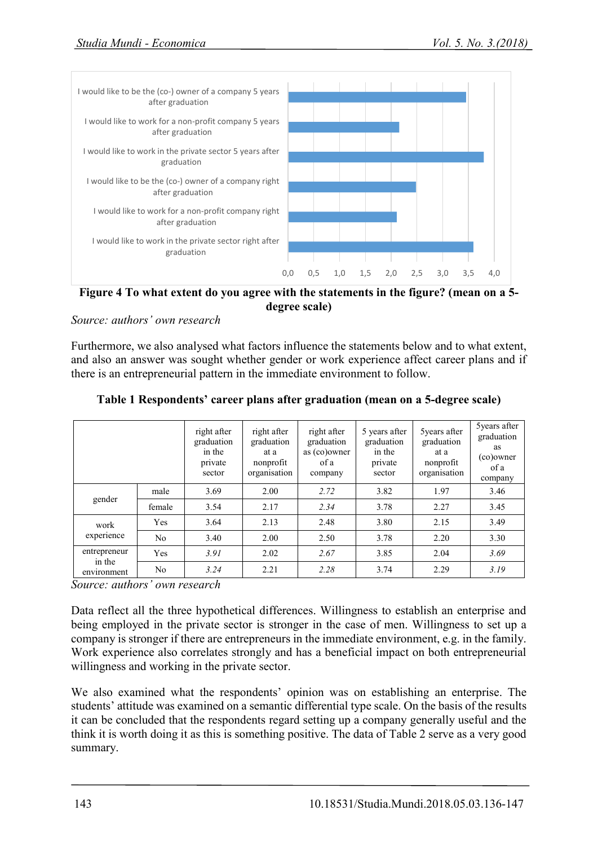

**Figure 4 To what extent do you agree with the statements in the figure? (mean on a 5 degree scale)**

*Source: authors' own research*

Furthermore, we also analysed what factors influence the statements below and to what extent, and also an answer was sought whether gender or work experience affect career plans and if there is an entrepreneurial pattern in the immediate environment to follow.

|                                       |                | right after<br>graduation<br>in the<br>private<br>sector | right after<br>graduation<br>at a<br>nonprofit<br>organisation | right after<br>graduation<br>as (co)owner<br>of a<br>company | 5 years after<br>graduation<br>in the<br>private<br>sector | 5 years after<br>graduation<br>at a<br>nonprofit<br>organisation | 5 years after<br>graduation<br>as<br>(co)owner<br>of a<br>company |
|---------------------------------------|----------------|----------------------------------------------------------|----------------------------------------------------------------|--------------------------------------------------------------|------------------------------------------------------------|------------------------------------------------------------------|-------------------------------------------------------------------|
| gender                                | male           | 3.69                                                     | 2.00                                                           | 2.72                                                         | 3.82                                                       | 1.97                                                             | 3.46                                                              |
|                                       | female         | 3.54                                                     | 2.17                                                           | 2.34                                                         | 3.78                                                       | 2.27                                                             | 3.45                                                              |
| work<br>experience                    | Yes            | 3.64                                                     | 2.13                                                           | 2.48                                                         | 3.80                                                       | 2.15                                                             | 3.49                                                              |
|                                       | N <sub>0</sub> | 3.40                                                     | 2.00                                                           | 2.50                                                         | 3.78                                                       | 2.20                                                             | 3.30                                                              |
| entrepreneur<br>in the<br>environment | Yes            | 3.91                                                     | 2.02                                                           | 2.67                                                         | 3.85                                                       | 2.04                                                             | 3.69                                                              |
|                                       | No             | 3.24                                                     | 2.21                                                           | 2.28                                                         | 3.74                                                       | 2.29                                                             | 3.19                                                              |

#### **Table 1 Respondents' career plans after graduation (mean on a 5-degree scale)**

*Source: authors' own research*

Data reflect all the three hypothetical differences. Willingness to establish an enterprise and being employed in the private sector is stronger in the case of men. Willingness to set up a company is stronger if there are entrepreneurs in the immediate environment, e.g. in the family. Work experience also correlates strongly and has a beneficial impact on both entrepreneurial willingness and working in the private sector.

We also examined what the respondents' opinion was on establishing an enterprise. The students' attitude was examined on a semantic differential type scale. On the basis of the results it can be concluded that the respondents regard setting up a company generally useful and the think it is worth doing it as this is something positive. The data of Table 2 serve as a very good summary.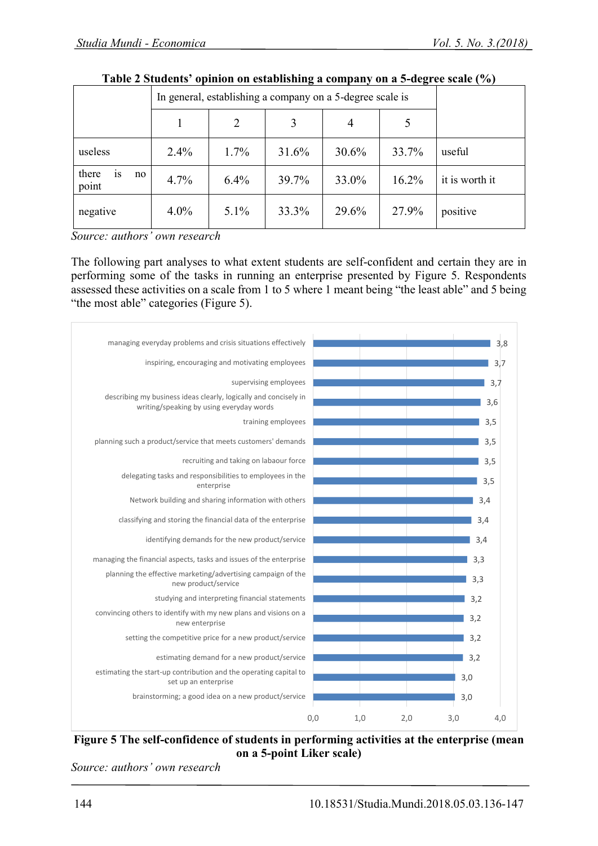|                            | In general, establishing a company on a 5-degree scale is |         |       |       |       |                |
|----------------------------|-----------------------------------------------------------|---------|-------|-------|-------|----------------|
|                            |                                                           | 2       | 3     | 4     |       |                |
| useless                    | 2.4%                                                      | $1.7\%$ | 31.6% | 30.6% | 33.7% | useful         |
| there<br>1S<br>no<br>point | 4.7%                                                      | 6.4%    | 39.7% | 33.0% | 16.2% | it is worth it |
| negative                   | $4.0\%$                                                   | $5.1\%$ | 33.3% | 29.6% | 27.9% | positive       |

| Table 2 Students' opinion on establishing a company on a 5-degree scale (%) |  |  |
|-----------------------------------------------------------------------------|--|--|
|-----------------------------------------------------------------------------|--|--|

*Source: authors' own research*

The following part analyses to what extent students are self-confident and certain they are in performing some of the tasks in running an enterprise presented by Figure 5. Respondents assessed these activities on a scale from 1 to 5 where 1 meant being "the least able" and 5 being "the most able" categories (Figure 5).



**Figure 5 The self-confidence of students in performing activities at the enterprise (mean on a 5-point Liker scale)**

*Source: authors' own research*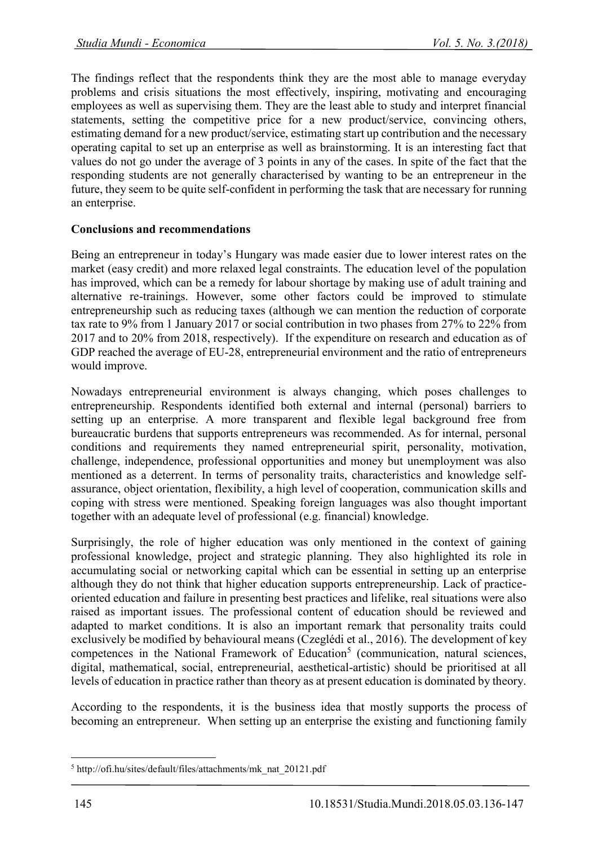The findings reflect that the respondents think they are the most able to manage everyday problems and crisis situations the most effectively, inspiring, motivating and encouraging employees as well as supervising them. They are the least able to study and interpret financial statements, setting the competitive price for a new product/service, convincing others, estimating demand for a new product/service, estimating start up contribution and the necessary operating capital to set up an enterprise as well as brainstorming. It is an interesting fact that values do not go under the average of 3 points in any of the cases. In spite of the fact that the responding students are not generally characterised by wanting to be an entrepreneur in the future, they seem to be quite self-confident in performing the task that are necessary for running an enterprise.

### **Conclusions and recommendations**

Being an entrepreneur in today's Hungary was made easier due to lower interest rates on the market (easy credit) and more relaxed legal constraints. The education level of the population has improved, which can be a remedy for labour shortage by making use of adult training and alternative re-trainings. However, some other factors could be improved to stimulate entrepreneurship such as reducing taxes (although we can mention the reduction of corporate tax rate to 9% from 1 January 2017 or social contribution in two phases from 27% to 22% from 2017 and to 20% from 2018, respectively). If the expenditure on research and education as of GDP reached the average of EU-28, entrepreneurial environment and the ratio of entrepreneurs would improve.

Nowadays entrepreneurial environment is always changing, which poses challenges to entrepreneurship. Respondents identified both external and internal (personal) barriers to setting up an enterprise. A more transparent and flexible legal background free from bureaucratic burdens that supports entrepreneurs was recommended. As for internal, personal conditions and requirements they named entrepreneurial spirit, personality, motivation, challenge, independence, professional opportunities and money but unemployment was also mentioned as a deterrent. In terms of personality traits, characteristics and knowledge selfassurance, object orientation, flexibility, a high level of cooperation, communication skills and coping with stress were mentioned. Speaking foreign languages was also thought important together with an adequate level of professional (e.g. financial) knowledge.

Surprisingly, the role of higher education was only mentioned in the context of gaining professional knowledge, project and strategic planning. They also highlighted its role in accumulating social or networking capital which can be essential in setting up an enterprise although they do not think that higher education supports entrepreneurship. Lack of practiceoriented education and failure in presenting best practices and lifelike, real situations were also raised as important issues. The professional content of education should be reviewed and adapted to market conditions. It is also an important remark that personality traits could exclusively be modified by behavioural means (Czeglédi et al., 2016). The development of key competences in the National Framework of Education<sup>5</sup> (communication, natural sciences, digital, mathematical, social, entrepreneurial, aesthetical-artistic) should be prioritised at all levels of education in practice rather than theory as at present education is dominated by theory.

According to the respondents, it is the business idea that mostly supports the process of becoming an entrepreneur. When setting up an enterprise the existing and functioning family

<sup>1</sup> <sup>5</sup> http://ofi.hu/sites/default/files/attachments/mk\_nat\_20121.pdf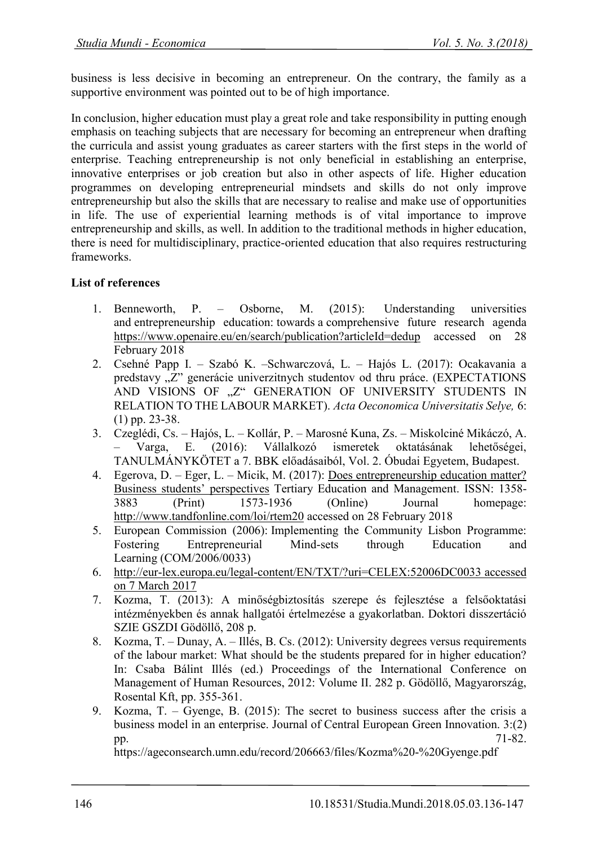business is less decisive in becoming an entrepreneur. On the contrary, the family as a supportive environment was pointed out to be of high importance.

In conclusion, higher education must play a great role and take responsibility in putting enough emphasis on teaching subjects that are necessary for becoming an entrepreneur when drafting the curricula and assist young graduates as career starters with the first steps in the world of enterprise. Teaching entrepreneurship is not only beneficial in establishing an enterprise, innovative enterprises or job creation but also in other aspects of life. Higher education programmes on developing entrepreneurial mindsets and skills do not only improve entrepreneurship but also the skills that are necessary to realise and make use of opportunities in life. The use of experiential learning methods is of vital importance to improve entrepreneurship and skills, as well. In addition to the traditional methods in higher education, there is need for multidisciplinary, practice-oriented education that also requires restructuring frameworks.

# **List of references**

- 1. Benneworth, P. Osborne, M. (2015): Understanding universities and entrepreneurship education: towards a comprehensive future research agenda <https://www.openaire.eu/en/search/publication?articleId=dedup> accessed on 28 February 2018
- 2. Csehné Papp I. Szabó K. –Schwarczová, L. Hajós L. (2017): Ocakavania a predstavy "Z" generácie univerzitnych studentov od thru práce. (EXPECTATIONS AND VISIONS OF "Z" GENERATION OF UNIVERSITY STUDENTS IN RELATION TO THE LABOUR MARKET). *Acta Oeconomica Universitatis Selye,* 6: (1) pp. 23-38.
- 3. Czeglédi, Cs. Hajós, L. Kollár, P. Marosné Kuna, Zs. Miskolciné Mikáczó, A. – Varga, E. (2016): Vállalkozó ismeretek oktatásának lehetőségei, TANULMÁNYKÖTET a 7. BBK előadásaiból, Vol. 2. Óbudai Egyetem, Budapest.
- 4. Egerova, D. Eger, L. Micik, M. (2017): [Does entrepreneurship education matter?](https://www.researchgate.net/publication/314276278_Does_entrepreneurship_education_matter_Business_students%27_perspectives?_iepl%5BviewId%5D=3MJVx9EvxL3jBKVfq01p214w&_iepl%5BprofilePublicationItemVariant%5D=default&_iepl%5Bcontexts%5D%5B0%5D=prfpi&_iepl%5BtargetEntityId%5D=PB%3A314276278&_iepl%5BinteractionType%5D=publicationTitle)  [Business students](https://www.researchgate.net/publication/314276278_Does_entrepreneurship_education_matter_Business_students%27_perspectives?_iepl%5BviewId%5D=3MJVx9EvxL3jBKVfq01p214w&_iepl%5BprofilePublicationItemVariant%5D=default&_iepl%5Bcontexts%5D%5B0%5D=prfpi&_iepl%5BtargetEntityId%5D=PB%3A314276278&_iepl%5BinteractionType%5D=publicationTitle)' perspectives Tertiary Education and Management. ISSN: 1358- 3883 (Print) 1573-1936 (Online) Journal homepage: <http://www.tandfonline.com/loi/rtem20> accessed on 28 February 2018
- 5. European Commission (2006): Implementing the Community Lisbon Programme: Fostering Entrepreneurial Mind-sets through Education and Learning (COM/2006/0033)
- 6. <http://eur-lex.europa.eu/legal-content/EN/TXT/?uri=CELEX:52006DC0033> accessed on 7 March 2017
- 7. Kozma, T. (2013): A minőségbiztosítás szerepe és fejlesztése a felsőoktatási intézményekben és annak hallgatói értelmezése a gyakorlatban. Doktori disszertáció SZIE GSZDI Gödöllő, 208 p.
- 8. Kozma, T. Dunay, A. Illés, B. Cs. (2012): University degrees versus requirements of the labour market: What should be the students prepared for in higher education? In: Csaba Bálint Illés (ed.) Proceedings of the International Conference on Management of Human Resources, 2012: Volume II. 282 p. Gödöllő, Magyarország, Rosental Kft, pp. 355-361.
- 9. Kozma, T. Gyenge, B. (2015): The secret to business success after the crisis a business model in an enterprise. Journal of Central European Green Innovation. 3:(2) pp. 71-82.

https://ageconsearch.umn.edu/record/206663/files/Kozma%20-%20Gyenge.pdf